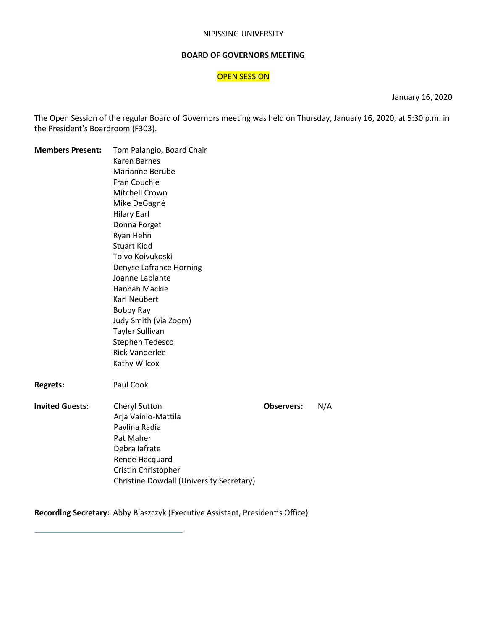#### NIPISSING UNIVERSITY

#### **BOARD OF GOVERNORS MEETING**

# **OPEN SESSION**

January 16, 2020

The Open Session of the regular Board of Governors meeting was held on Thursday, January 16, 2020, at 5:30 p.m. in the President's Boardroom (F303).

| <b>Members Present:</b> | Tom Palangio, Board Chair                |                          |  |  |  |  |  |
|-------------------------|------------------------------------------|--------------------------|--|--|--|--|--|
|                         | Karen Barnes                             |                          |  |  |  |  |  |
|                         | Marianne Berube                          |                          |  |  |  |  |  |
|                         | Fran Couchie                             |                          |  |  |  |  |  |
|                         | Mitchell Crown                           |                          |  |  |  |  |  |
|                         | Mike DeGagné                             |                          |  |  |  |  |  |
|                         | <b>Hilary Earl</b>                       |                          |  |  |  |  |  |
|                         | Donna Forget                             |                          |  |  |  |  |  |
|                         | Ryan Hehn                                |                          |  |  |  |  |  |
|                         | <b>Stuart Kidd</b>                       |                          |  |  |  |  |  |
|                         | Toivo Koivukoski                         |                          |  |  |  |  |  |
|                         | Denyse Lafrance Horning                  |                          |  |  |  |  |  |
|                         | Joanne Laplante                          |                          |  |  |  |  |  |
|                         | Hannah Mackie                            |                          |  |  |  |  |  |
|                         | <b>Karl Neubert</b>                      |                          |  |  |  |  |  |
|                         | Bobby Ray                                |                          |  |  |  |  |  |
|                         | Judy Smith (via Zoom)                    |                          |  |  |  |  |  |
|                         | Tayler Sullivan                          |                          |  |  |  |  |  |
|                         | Stephen Tedesco                          |                          |  |  |  |  |  |
|                         | <b>Rick Vanderlee</b>                    |                          |  |  |  |  |  |
|                         | Kathy Wilcox                             |                          |  |  |  |  |  |
| <b>Regrets:</b>         | Paul Cook                                |                          |  |  |  |  |  |
| <b>Invited Guests:</b>  | Cheryl Sutton                            | N/A<br><b>Observers:</b> |  |  |  |  |  |
|                         | Arja Vainio-Mattila                      |                          |  |  |  |  |  |
|                         | Pavlina Radia                            |                          |  |  |  |  |  |
|                         | Pat Maher                                |                          |  |  |  |  |  |
|                         | Debra lafrate                            |                          |  |  |  |  |  |
|                         | Renee Hacquard                           |                          |  |  |  |  |  |
|                         | Cristin Christopher                      |                          |  |  |  |  |  |
|                         | Christine Dowdall (University Secretary) |                          |  |  |  |  |  |

**Recording Secretary:** Abby Blaszczyk (Executive Assistant, President's Office)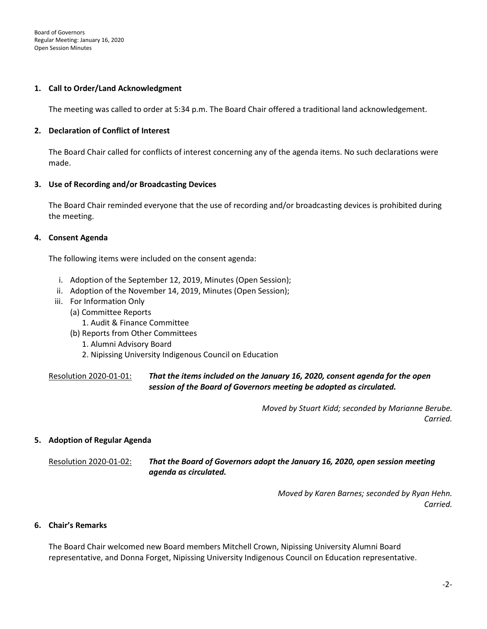#### **1. Call to Order/Land Acknowledgment**

The meeting was called to order at 5:34 p.m. The Board Chair offered a traditional land acknowledgement.

#### **2. Declaration of Conflict of Interest**

The Board Chair called for conflicts of interest concerning any of the agenda items. No such declarations were made.

#### **3. Use of Recording and/or Broadcasting Devices**

The Board Chair reminded everyone that the use of recording and/or broadcasting devices is prohibited during the meeting.

#### **4. Consent Agenda**

The following items were included on the consent agenda:

- i. Adoption of the September 12, 2019, Minutes (Open Session);
- ii. Adoption of the November 14, 2019, Minutes (Open Session);
- iii. For Information Only
	- (a) Committee Reports
		- 1. Audit & Finance Committee
	- (b) Reports from Other Committees
		- 1. Alumni Advisory Board
		- 2. Nipissing University Indigenous Council on Education

Resolution 2020-01-01: *That the items included on the January 16, 2020, consent agenda for the open session of the Board of Governors meeting be adopted as circulated.*

> *Moved by Stuart Kidd; seconded by Marianne Berube. Carried.*

#### **5. Adoption of Regular Agenda**

Resolution 2020-01-02: *That the Board of Governors adopt the January 16, 2020, open session meeting agenda as circulated.*

> *Moved by Karen Barnes; seconded by Ryan Hehn. Carried.*

# **6. Chair's Remarks**

The Board Chair welcomed new Board members Mitchell Crown, Nipissing University Alumni Board representative, and Donna Forget, Nipissing University Indigenous Council on Education representative.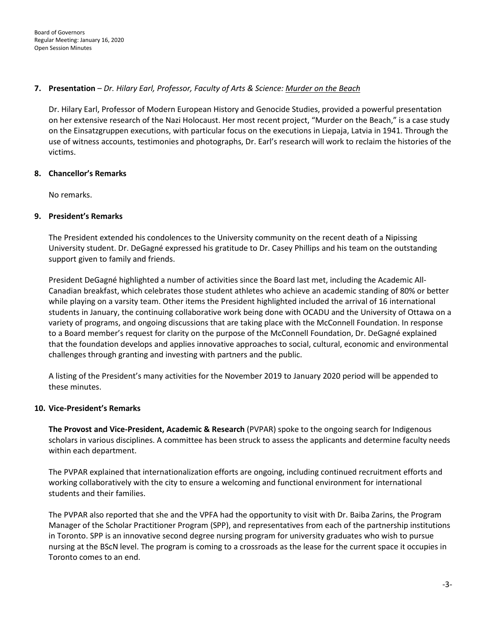# **7. Presentation** – *Dr. Hilary Earl, Professor, Faculty of Arts & Science: Murder on the Beach*

Dr. Hilary Earl, Professor of Modern European History and Genocide Studies, provided a powerful presentation on her extensive research of the Nazi Holocaust. Her most recent project, "Murder on the Beach," is a case study on the Einsatzgruppen executions, with particular focus on the executions in Liepaja, Latvia in 1941. Through the use of witness accounts, testimonies and photographs, Dr. Earl's research will work to reclaim the histories of the victims.

# **8. Chancellor's Remarks**

No remarks.

# **9. President's Remarks**

The President extended his condolences to the University community on the recent death of a Nipissing University student. Dr. DeGagné expressed his gratitude to Dr. Casey Phillips and his team on the outstanding support given to family and friends.

President DeGagné highlighted a number of activities since the Board last met, including the Academic All-Canadian breakfast, which celebrates those student athletes who achieve an academic standing of 80% or better while playing on a varsity team. Other items the President highlighted included the arrival of 16 international students in January, the continuing collaborative work being done with OCADU and the University of Ottawa on a variety of programs, and ongoing discussions that are taking place with the McConnell Foundation. In response to a Board member's request for clarity on the purpose of the McConnell Foundation, Dr. DeGagné explained that the foundation develops and applies innovative approaches to social, cultural, economic and environmental challenges through granting and investing with partners and the public.

A listing of the President's many activities for the November 2019 to January 2020 period will be appended to these minutes.

# **10. Vice-President's Remarks**

**The Provost and Vice-President, Academic & Research** (PVPAR) spoke to the ongoing search for Indigenous scholars in various disciplines. A committee has been struck to assess the applicants and determine faculty needs within each department.

The PVPAR explained that internationalization efforts are ongoing, including continued recruitment efforts and working collaboratively with the city to ensure a welcoming and functional environment for international students and their families.

The PVPAR also reported that she and the VPFA had the opportunity to visit with Dr. Baiba Zarins, the Program Manager of the Scholar Practitioner Program (SPP), and representatives from each of the partnership institutions in Toronto. SPP is an innovative second degree nursing program for university graduates who wish to pursue nursing at the BScN level. The program is coming to a crossroads as the lease for the current space it occupies in Toronto comes to an end.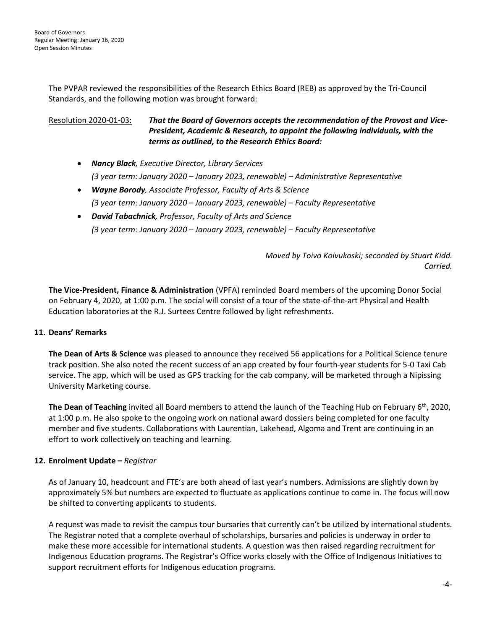The PVPAR reviewed the responsibilities of the Research Ethics Board (REB) as approved by the Tri-Council Standards, and the following motion was brought forward:

# Resolution 2020-01-03: *That the Board of Governors accepts the recommendation of the Provost and Vice-President, Academic & Research, to appoint the following individuals, with the terms as outlined, to the Research Ethics Board:*

- *Nancy Black, Executive Director, Library Services (3 year term: January 2020 – January 2023, renewable) – Administrative Representative*
- *Wayne Borody, Associate Professor, Faculty of Arts & Science (3 year term: January 2020 – January 2023, renewable) – Faculty Representative*
- *David Tabachnick, Professor, Faculty of Arts and Science (3 year term: January 2020 – January 2023, renewable) – Faculty Representative*

*Moved by Toivo Koivukoski; seconded by Stuart Kidd. Carried.*

**The Vice-President, Finance & Administration** (VPFA) reminded Board members of the upcoming Donor Social on February 4, 2020, at 1:00 p.m. The social will consist of a tour of the state-of-the-art Physical and Health Education laboratories at the R.J. Surtees Centre followed by light refreshments.

# **11. Deans' Remarks**

**The Dean of Arts & Science** was pleased to announce they received 56 applications for a Political Science tenure track position. She also noted the recent success of an app created by four fourth-year students for 5-0 Taxi Cab service. The app, which will be used as GPS tracking for the cab company, will be marketed through a Nipissing University Marketing course.

**The Dean of Teaching** invited all Board members to attend the launch of the Teaching Hub on February 6<sup>th</sup>, 2020, at 1:00 p.m. He also spoke to the ongoing work on national award dossiers being completed for one faculty member and five students. Collaborations with Laurentian, Lakehead, Algoma and Trent are continuing in an effort to work collectively on teaching and learning.

# **12. Enrolment Update –** *Registrar*

As of January 10, headcount and FTE's are both ahead of last year's numbers. Admissions are slightly down by approximately 5% but numbers are expected to fluctuate as applications continue to come in. The focus will now be shifted to converting applicants to students.

A request was made to revisit the campus tour bursaries that currently can't be utilized by international students. The Registrar noted that a complete overhaul of scholarships, bursaries and policies is underway in order to make these more accessible for international students. A question was then raised regarding recruitment for Indigenous Education programs. The Registrar's Office works closely with the Office of Indigenous Initiatives to support recruitment efforts for Indigenous education programs.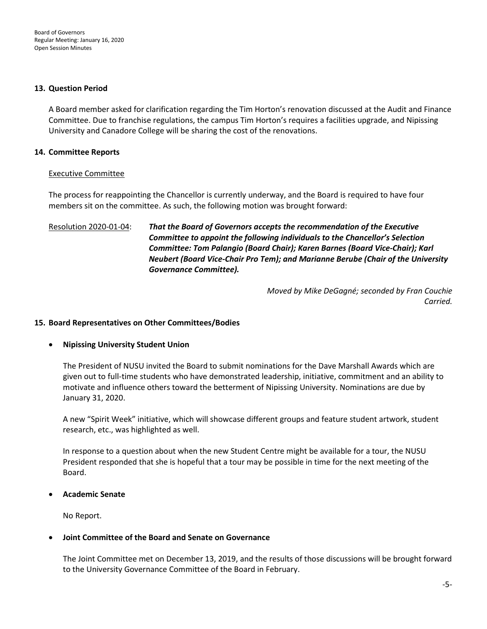#### **13. Question Period**

A Board member asked for clarification regarding the Tim Horton's renovation discussed at the Audit and Finance Committee. Due to franchise regulations, the campus Tim Horton's requires a facilities upgrade, and Nipissing University and Canadore College will be sharing the cost of the renovations.

# **14. Committee Reports**

# Executive Committee

The process for reappointing the Chancellor is currently underway, and the Board is required to have four members sit on the committee. As such, the following motion was brought forward:

# Resolution 2020-01-04: *That the Board of Governors accepts the recommendation of the Executive Committee to appoint the following individuals to the Chancellor's Selection Committee: Tom Palangio (Board Chair); Karen Barnes (Board Vice-Chair); Karl Neubert (Board Vice-Chair Pro Tem); and Marianne Berube (Chair of the University Governance Committee).*

*Moved by Mike DeGagné; seconded by Fran Couchie Carried.*

# **15. Board Representatives on Other Committees/Bodies**

# • **Nipissing University Student Union**

The President of NUSU invited the Board to submit nominations for the Dave Marshall Awards which are given out to full-time students who have demonstrated leadership, initiative, commitment and an ability to motivate and influence others toward the betterment of Nipissing University. Nominations are due by January 31, 2020.

A new "Spirit Week" initiative, which will showcase different groups and feature student artwork, student research, etc., was highlighted as well.

In response to a question about when the new Student Centre might be available for a tour, the NUSU President responded that she is hopeful that a tour may be possible in time for the next meeting of the Board.

# • **Academic Senate**

No Report.

# • **Joint Committee of the Board and Senate on Governance**

The Joint Committee met on December 13, 2019, and the results of those discussions will be brought forward to the University Governance Committee of the Board in February.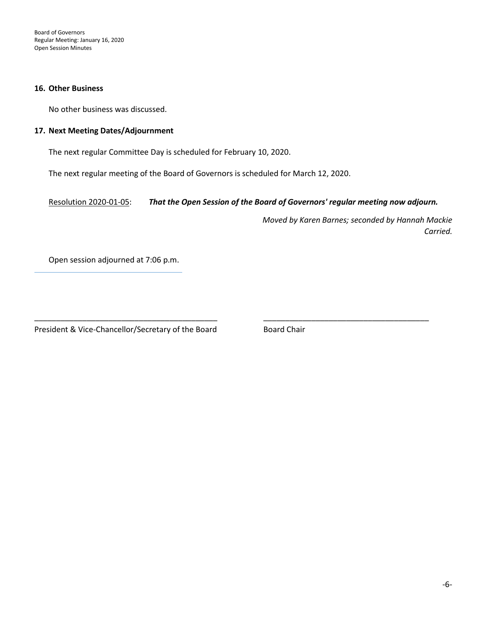Board of Governors Regular Meeting: January 16, 2020 Open Session Minutes

#### **16. Other Business**

No other business was discussed.

#### **17. Next Meeting Dates/Adjournment**

The next regular Committee Day is scheduled for February 10, 2020.

The next regular meeting of the Board of Governors is scheduled for March 12, 2020.

Resolution 2020-01-05: *That the Open Session of the Board of Governors' regular meeting now adjourn.*

\_\_\_\_\_\_\_\_\_\_\_\_\_\_\_\_\_\_\_\_\_\_\_\_\_\_\_\_\_\_\_\_\_\_\_\_\_\_\_\_\_\_ \_\_\_\_\_\_\_\_\_\_\_\_\_\_\_\_\_\_\_\_\_\_\_\_\_\_\_\_\_\_\_\_\_\_\_\_\_\_

*Moved by Karen Barnes; seconded by Hannah Mackie Carried.*

Open session adjourned at 7:06 p.m.

President & Vice-Chancellor/Secretary of the Board Board Board Chair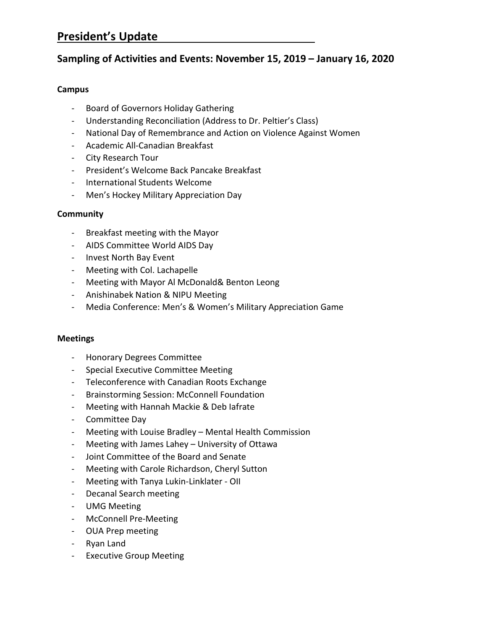# **President's Update**

# **Sampling of Activities and Events: November 15, 2019 – January 16, 2020**

# **Campus**

- Board of Governors Holiday Gathering
- Understanding Reconciliation (Address to Dr. Peltier's Class)
- National Day of Remembrance and Action on Violence Against Women
- Academic All-Canadian Breakfast
- City Research Tour
- President's Welcome Back Pancake Breakfast
- International Students Welcome
- Men's Hockey Military Appreciation Day

# **Community**

- Breakfast meeting with the Mayor
- AIDS Committee World AIDS Day
- Invest North Bay Event
- Meeting with Col. Lachapelle
- Meeting with Mayor Al McDonald& Benton Leong
- Anishinabek Nation & NIPU Meeting
- Media Conference: Men's & Women's Military Appreciation Game

# **Meetings**

- Honorary Degrees Committee
- Special Executive Committee Meeting
- Teleconference with Canadian Roots Exchange
- Brainstorming Session: McConnell Foundation
- Meeting with Hannah Mackie & Deb Iafrate
- Committee Day
- Meeting with Louise Bradley Mental Health Commission
- Meeting with James Lahey University of Ottawa
- Joint Committee of the Board and Senate
- Meeting with Carole Richardson, Cheryl Sutton
- Meeting with Tanya Lukin-Linklater OII
- Decanal Search meeting
- UMG Meeting
- McConnell Pre-Meeting
- OUA Prep meeting
- Ryan Land
- Executive Group Meeting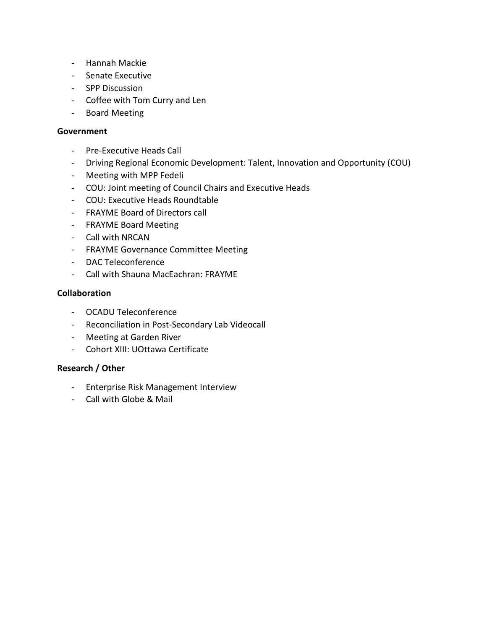- Hannah Mackie
- Senate Executive
- SPP Discussion
- Coffee with Tom Curry and Len
- Board Meeting

# **Government**

- Pre-Executive Heads Call
- Driving Regional Economic Development: Talent, Innovation and Opportunity (COU)
- Meeting with MPP Fedeli
- COU: Joint meeting of Council Chairs and Executive Heads
- COU: Executive Heads Roundtable
- FRAYME Board of Directors call
- FRAYME Board Meeting
- Call with NRCAN
- FRAYME Governance Committee Meeting
- DAC Teleconference
- Call with Shauna MacEachran: FRAYME

# **Collaboration**

- OCADU Teleconference
- Reconciliation in Post-Secondary Lab Videocall
- Meeting at Garden River
- Cohort XIII: UOttawa Certificate

# **Research / Other**

- Enterprise Risk Management Interview
- Call with Globe & Mail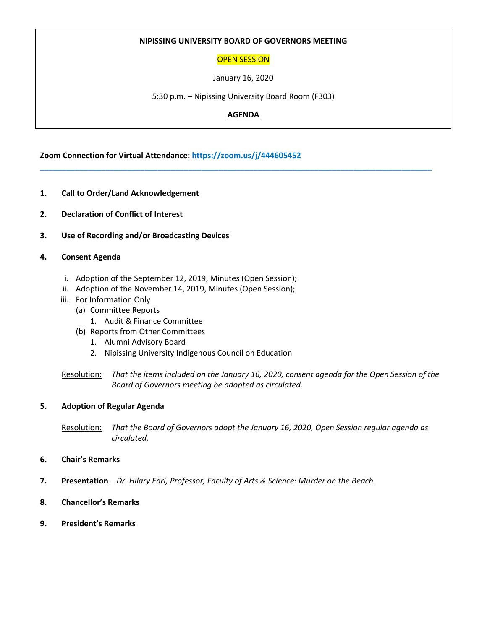# **NIPISSING UNIVERSITY BOARD OF GOVERNORS MEETING**

# OPEN SESSION

January 16, 2020

5:30 p.m. – Nipissing University Board Room (F303)

# **AGENDA**

\_\_\_\_\_\_\_\_\_\_\_\_\_\_\_\_\_\_\_\_\_\_\_\_\_\_\_\_\_\_\_\_\_\_\_\_\_\_\_\_\_\_\_\_\_\_\_\_\_\_\_\_\_\_\_\_\_\_\_\_\_\_\_\_\_\_\_\_\_\_\_\_\_\_\_\_\_\_\_\_\_\_\_\_\_\_\_\_\_\_

**Zoom Connection for Virtual Attendance: https://zoom.us/j/444605452**

- **1. Call to Order/Land Acknowledgement**
- **2. Declaration of Conflict of Interest**
- **3. Use of Recording and/or Broadcasting Devices**

#### **4. Consent Agenda**

- i. Adoption of the September 12, 2019, Minutes (Open Session);
- ii. Adoption of the November 14, 2019, Minutes (Open Session);
- iii. For Information Only
	- (a) Committee Reports
		- 1. Audit & Finance Committee
	- (b) Reports from Other Committees
		- 1. Alumni Advisory Board
		- 2. Nipissing University Indigenous Council on Education

Resolution: *That the items included on the January 16, 2020, consent agenda for the Open Session of the Board of Governors meeting be adopted as circulated.*

#### **5. Adoption of Regular Agenda**

Resolution: *That the Board of Governors adopt the January 16, 2020, Open Session regular agenda as circulated.*

#### **6. Chair's Remarks**

- **7. Presentation** *– Dr. Hilary Earl, Professor, Faculty of Arts & Science: Murder on the Beach*
- **8. Chancellor's Remarks**
- **9. President's Remarks**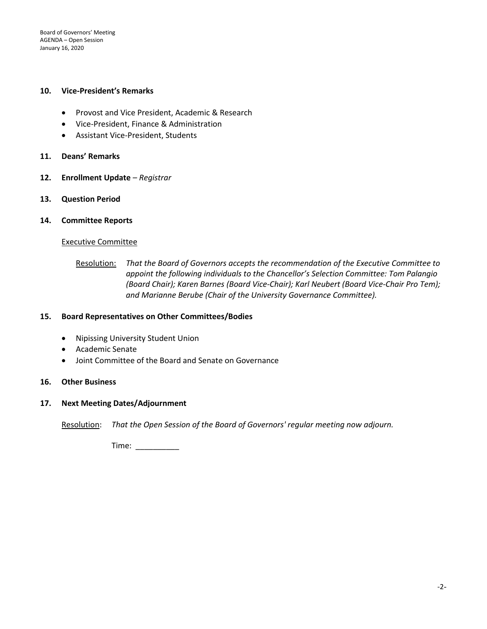Board of Governors' Meeting AGENDA – Open Session January 16, 2020

#### **10. Vice-President's Remarks**

- Provost and Vice President, Academic & Research
- Vice-President, Finance & Administration
- Assistant Vice-President, Students
- **11. Deans' Remarks**
- **12. Enrollment Update** *– Registrar*
- **13. Question Period**
- **14. Committee Reports**

#### Executive Committee

#### **15. Board Representatives on Other Committees/Bodies**

- Nipissing University Student Union
- Academic Senate
- Joint Committee of the Board and Senate on Governance

# **16. Other Business**

# **17. Next Meeting Dates/Adjournment**

Resolution: *That the Open Session of the Board of Governors' regular meeting now adjourn.*

Time: \_\_\_\_\_\_\_\_\_\_

Resolution: *That the Board of Governors accepts the recommendation of the Executive Committee to appoint the following individuals to the Chancellor's Selection Committee: Tom Palangio (Board Chair); Karen Barnes (Board Vice-Chair); Karl Neubert (Board Vice-Chair Pro Tem); and Marianne Berube (Chair of the University Governance Committee).*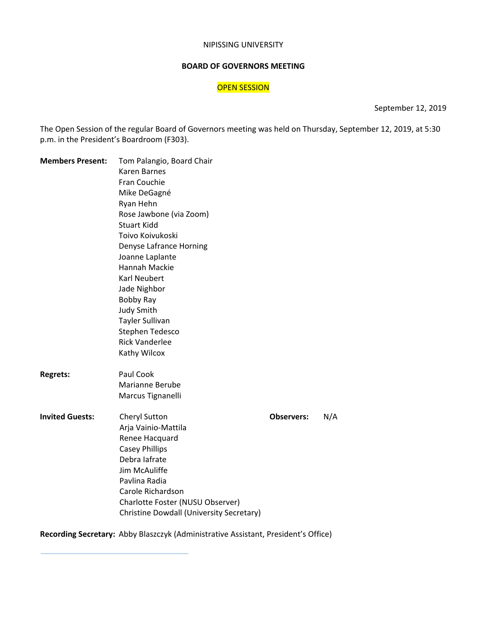#### NIPISSING UNIVERSITY

# **BOARD OF GOVERNORS MEETING**

#### OPEN SESSION

September 12, 2019

The Open Session of the regular Board of Governors meeting was held on Thursday, September 12, 2019, at 5:30 p.m. in the President's Boardroom (F303).

| <b>Members Present:</b>                   | Tom Palangio, Board Chair                       |                   |     |  |  |  |  |  |  |  |  |  |
|-------------------------------------------|-------------------------------------------------|-------------------|-----|--|--|--|--|--|--|--|--|--|
| <b>Regrets:</b><br><b>Invited Guests:</b> | Karen Barnes                                    |                   |     |  |  |  |  |  |  |  |  |  |
|                                           | Fran Couchie                                    |                   |     |  |  |  |  |  |  |  |  |  |
|                                           | Mike DeGagné                                    |                   |     |  |  |  |  |  |  |  |  |  |
|                                           | Ryan Hehn                                       |                   |     |  |  |  |  |  |  |  |  |  |
|                                           | Rose Jawbone (via Zoom)                         |                   |     |  |  |  |  |  |  |  |  |  |
|                                           | <b>Stuart Kidd</b>                              |                   |     |  |  |  |  |  |  |  |  |  |
|                                           | Toivo Koivukoski                                |                   |     |  |  |  |  |  |  |  |  |  |
|                                           | Denyse Lafrance Horning                         |                   |     |  |  |  |  |  |  |  |  |  |
|                                           | Joanne Laplante                                 |                   |     |  |  |  |  |  |  |  |  |  |
|                                           | Hannah Mackie                                   |                   |     |  |  |  |  |  |  |  |  |  |
|                                           | <b>Karl Neubert</b>                             |                   |     |  |  |  |  |  |  |  |  |  |
|                                           | Jade Nighbor                                    |                   |     |  |  |  |  |  |  |  |  |  |
|                                           | Bobby Ray                                       |                   |     |  |  |  |  |  |  |  |  |  |
|                                           | <b>Judy Smith</b>                               |                   |     |  |  |  |  |  |  |  |  |  |
|                                           | <b>Tayler Sullivan</b>                          |                   |     |  |  |  |  |  |  |  |  |  |
|                                           | Stephen Tedesco                                 |                   |     |  |  |  |  |  |  |  |  |  |
|                                           | <b>Rick Vanderlee</b>                           |                   |     |  |  |  |  |  |  |  |  |  |
|                                           | Kathy Wilcox                                    |                   |     |  |  |  |  |  |  |  |  |  |
|                                           | Paul Cook                                       |                   |     |  |  |  |  |  |  |  |  |  |
|                                           | Marianne Berube                                 |                   |     |  |  |  |  |  |  |  |  |  |
|                                           | Marcus Tignanelli                               |                   |     |  |  |  |  |  |  |  |  |  |
|                                           | Cheryl Sutton                                   | <b>Observers:</b> | N/A |  |  |  |  |  |  |  |  |  |
|                                           | Arja Vainio-Mattila                             |                   |     |  |  |  |  |  |  |  |  |  |
|                                           | Renee Hacquard                                  |                   |     |  |  |  |  |  |  |  |  |  |
|                                           | <b>Casey Phillips</b>                           |                   |     |  |  |  |  |  |  |  |  |  |
|                                           | Debra lafrate                                   |                   |     |  |  |  |  |  |  |  |  |  |
|                                           | Jim McAuliffe                                   |                   |     |  |  |  |  |  |  |  |  |  |
|                                           | Pavlina Radia                                   |                   |     |  |  |  |  |  |  |  |  |  |
|                                           | Carole Richardson                               |                   |     |  |  |  |  |  |  |  |  |  |
|                                           | Charlotte Foster (NUSU Observer)                |                   |     |  |  |  |  |  |  |  |  |  |
|                                           | <b>Christine Dowdall (University Secretary)</b> |                   |     |  |  |  |  |  |  |  |  |  |

**Recording Secretary:** Abby Blaszczyk (Administrative Assistant, President's Office)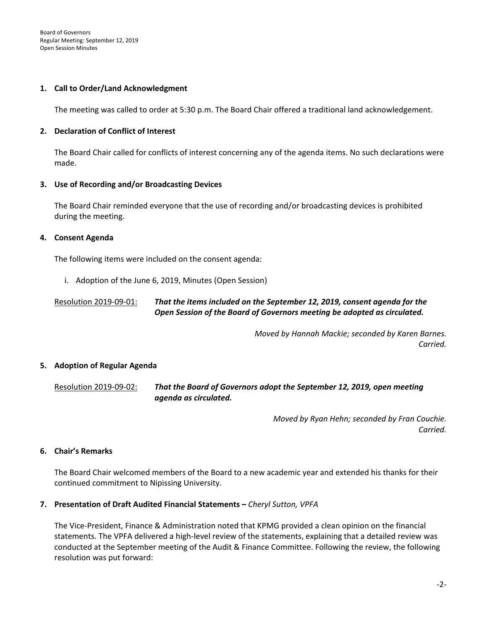#### **1. Call to Order/Land Acknowledgment**

The meeting was called to order at 5:30 p.m. The Board Chair offered a traditional land acknowledgement.

#### **2. Declaration of Conflict of Interest**

The Board Chair called for conflicts of interest concerning any of the agenda items. No such declarations were made.

#### **3. Use of Recording and/or Broadcasting Devices**

The Board Chair reminded everyone that the use of recording and/or broadcasting devices is prohibited during the meeting.

#### **4. Consent Agenda**

The following items were included on the consent agenda:

i. Adoption of the June 6, 2019, Minutes (Open Session)

# Resolution 2019-09-01: *That the items included on the September 12, 2019, consent agenda for the Open Session of the Board of Governors meeting be adopted as circulated.*

*Moved by Hannah Mackie; seconded by Karen Barnes. Carried.* 

# **5. Adoption of Regular Agenda**

Resolution 2019-09-02: *That the Board of Governors adopt the September 12, 2019, open meeting agenda as circulated.*

> *Moved by Ryan Hehn; seconded by Fran Couchie. Carried.*

#### **6. Chair's Remarks**

The Board Chair welcomed members of the Board to a new academic year and extended his thanks for their continued commitment to Nipissing University.

#### **7. Presentation of Draft Audited Financial Statements –** *Cheryl Sutton, VPFA*

The Vice-President, Finance & Administration noted that KPMG provided a clean opinion on the financial statements. The VPFA delivered a high-level review of the statements, explaining that a detailed review was conducted at the September meeting of the Audit & Finance Committee. Following the review, the following resolution was put forward: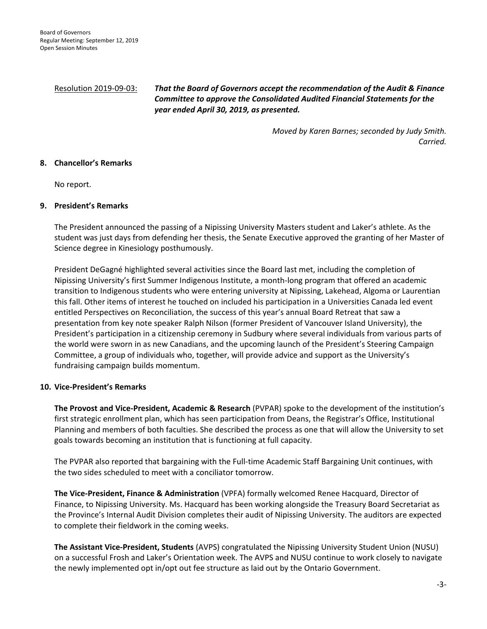# Resolution 2019-09-03: *That the Board of Governors accept the recommendation of the Audit & Finance Committee to approve the Consolidated Audited Financial Statements for the year ended April 30, 2019, as presented.*

*Moved by Karen Barnes; seconded by Judy Smith. Carried.*

#### **8. Chancellor's Remarks**

No report.

#### **9. President's Remarks**

The President announced the passing of a Nipissing University Masters student and Laker's athlete. As the student was just days from defending her thesis, the Senate Executive approved the granting of her Master of Science degree in Kinesiology posthumously.

President DeGagné highlighted several activities since the Board last met, including the completion of Nipissing University's first Summer Indigenous Institute, a month-long program that offered an academic transition to Indigenous students who were entering university at Nipissing, Lakehead, Algoma or Laurentian this fall. Other items of interest he touched on included his participation in a Universities Canada led event entitled Perspectives on Reconciliation, the success of this year's annual Board Retreat that saw a presentation from key note speaker Ralph Nilson (former President of Vancouver Island University), the President's participation in a citizenship ceremony in Sudbury where several individuals from various parts of the world were sworn in as new Canadians, and the upcoming launch of the President's Steering Campaign Committee, a group of individuals who, together, will provide advice and support as the University's fundraising campaign builds momentum.

# **10. Vice-President's Remarks**

**The Provost and Vice-President, Academic & Research** (PVPAR) spoke to the development of the institution's first strategic enrollment plan, which has seen participation from Deans, the Registrar's Office, Institutional Planning and members of both faculties. She described the process as one that will allow the University to set goals towards becoming an institution that is functioning at full capacity.

The PVPAR also reported that bargaining with the Full-time Academic Staff Bargaining Unit continues, with the two sides scheduled to meet with a conciliator tomorrow.

**The Vice-President, Finance & Administration** (VPFA) formally welcomed Renee Hacquard, Director of Finance, to Nipissing University. Ms. Hacquard has been working alongside the Treasury Board Secretariat as the Province's Internal Audit Division completes their audit of Nipissing University. The auditors are expected to complete their fieldwork in the coming weeks.

**The Assistant Vice-President, Students** (AVPS) congratulated the Nipissing University Student Union (NUSU) on a successful Frosh and Laker's Orientation week. The AVPS and NUSU continue to work closely to navigate the newly implemented opt in/opt out fee structure as laid out by the Ontario Government.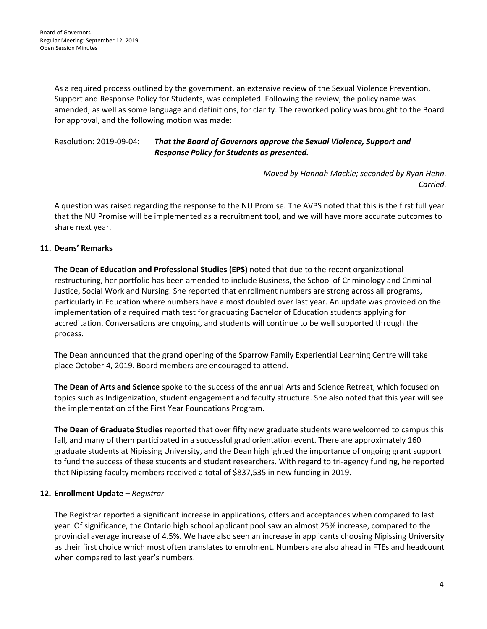As a required process outlined by the government, an extensive review of the Sexual Violence Prevention, Support and Response Policy for Students, was completed. Following the review, the policy name was amended, as well as some language and definitions, for clarity. The reworked policy was brought to the Board for approval, and the following motion was made:

# Resolution: 2019-09-04: *That the Board of Governors approve the Sexual Violence, Support and Response Policy for Students as presented.*

*Moved by Hannah Mackie; seconded by Ryan Hehn. Carried.*

A question was raised regarding the response to the NU Promise. The AVPS noted that this is the first full year that the NU Promise will be implemented as a recruitment tool, and we will have more accurate outcomes to share next year.

# **11. Deans' Remarks**

**The Dean of Education and Professional Studies (EPS)** noted that due to the recent organizational restructuring, her portfolio has been amended to include Business, the School of Criminology and Criminal Justice, Social Work and Nursing. She reported that enrollment numbers are strong across all programs, particularly in Education where numbers have almost doubled over last year. An update was provided on the implementation of a required math test for graduating Bachelor of Education students applying for accreditation. Conversations are ongoing, and students will continue to be well supported through the process.

The Dean announced that the grand opening of the Sparrow Family Experiential Learning Centre will take place October 4, 2019. Board members are encouraged to attend.

**The Dean of Arts and Science** spoke to the success of the annual Arts and Science Retreat, which focused on topics such as Indigenization, student engagement and faculty structure. She also noted that this year will see the implementation of the First Year Foundations Program.

**The Dean of Graduate Studies** reported that over fifty new graduate students were welcomed to campus this fall, and many of them participated in a successful grad orientation event. There are approximately 160 graduate students at Nipissing University, and the Dean highlighted the importance of ongoing grant support to fund the success of these students and student researchers. With regard to tri-agency funding, he reported that Nipissing faculty members received a total of \$837,535 in new funding in 2019.

# **12. Enrollment Update –** *Registrar*

The Registrar reported a significant increase in applications, offers and acceptances when compared to last year. Of significance, the Ontario high school applicant pool saw an almost 25% increase, compared to the provincial average increase of 4.5%. We have also seen an increase in applicants choosing Nipissing University as their first choice which most often translates to enrolment. Numbers are also ahead in FTEs and headcount when compared to last year's numbers.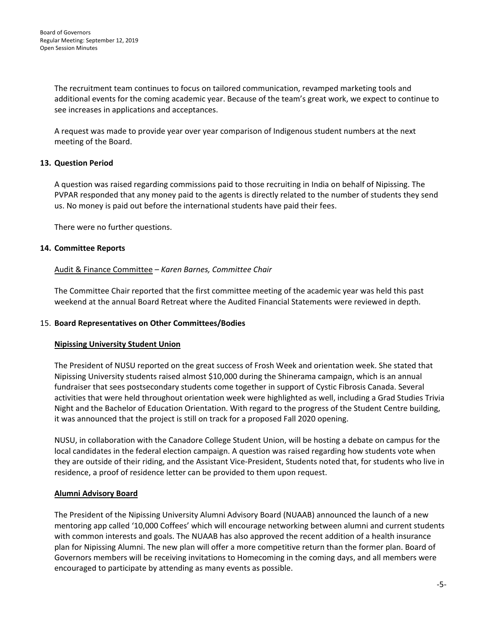The recruitment team continues to focus on tailored communication, revamped marketing tools and additional events for the coming academic year. Because of the team's great work, we expect to continue to see increases in applications and acceptances.

A request was made to provide year over year comparison of Indigenous student numbers at the next meeting of the Board.

# **13. Question Period**

A question was raised regarding commissions paid to those recruiting in India on behalf of Nipissing. The PVPAR responded that any money paid to the agents is directly related to the number of students they send us. No money is paid out before the international students have paid their fees.

There were no further questions.

# **14. Committee Reports**

# Audit & Finance Committee – *Karen Barnes, Committee Chair*

The Committee Chair reported that the first committee meeting of the academic year was held this past weekend at the annual Board Retreat where the Audited Financial Statements were reviewed in depth.

# 15. **Board Representatives on Other Committees/Bodies**

#### **Nipissing University Student Union**

The President of NUSU reported on the great success of Frosh Week and orientation week. She stated that Nipissing University students raised almost \$10,000 during the Shinerama campaign, which is an annual fundraiser that sees postsecondary students come together in support of Cystic Fibrosis Canada. Several activities that were held throughout orientation week were highlighted as well, including a Grad Studies Trivia Night and the Bachelor of Education Orientation. With regard to the progress of the Student Centre building, it was announced that the project is still on track for a proposed Fall 2020 opening.

NUSU, in collaboration with the Canadore College Student Union, will be hosting a debate on campus for the local candidates in the federal election campaign. A question was raised regarding how students vote when they are outside of their riding, and the Assistant Vice-President, Students noted that, for students who live in residence, a proof of residence letter can be provided to them upon request.

# **Alumni Advisory Board**

The President of the Nipissing University Alumni Advisory Board (NUAAB) announced the launch of a new mentoring app called '10,000 Coffees' which will encourage networking between alumni and current students with common interests and goals. The NUAAB has also approved the recent addition of a health insurance plan for Nipissing Alumni. The new plan will offer a more competitive return than the former plan. Board of Governors members will be receiving invitations to Homecoming in the coming days, and all members were encouraged to participate by attending as many events as possible.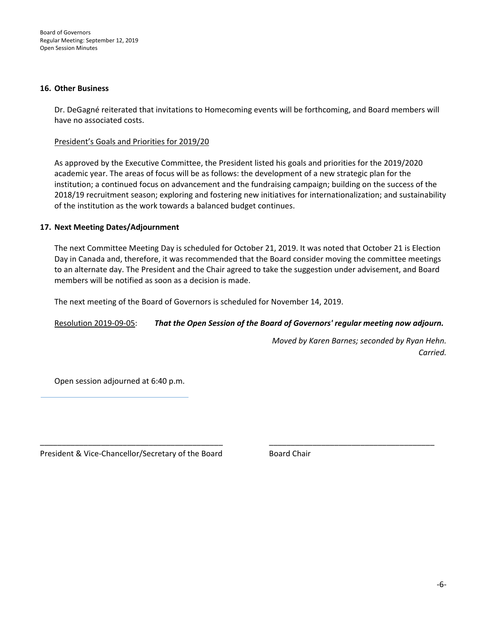#### **16. Other Business**

Dr. DeGagné reiterated that invitations to Homecoming events will be forthcoming, and Board members will have no associated costs.

#### President's Goals and Priorities for 2019/20

As approved by the Executive Committee, the President listed his goals and priorities for the 2019/2020 academic year. The areas of focus will be as follows: the development of a new strategic plan for the institution; a continued focus on advancement and the fundraising campaign; building on the success of the 2018/19 recruitment season; exploring and fostering new initiatives for internationalization; and sustainability of the institution as the work towards a balanced budget continues.

#### **17. Next Meeting Dates/Adjournment**

The next Committee Meeting Day is scheduled for October 21, 2019. It was noted that October 21 is Election Day in Canada and, therefore, it was recommended that the Board consider moving the committee meetings to an alternate day. The President and the Chair agreed to take the suggestion under advisement, and Board members will be notified as soon as a decision is made.

The next meeting of the Board of Governors is scheduled for November 14, 2019.

# Resolution 2019-09-05: *That the Open Session of the Board of Governors' regular meeting now adjourn.*

\_\_\_\_\_\_\_\_\_\_\_\_\_\_\_\_\_\_\_\_\_\_\_\_\_\_\_\_\_\_\_\_\_\_\_\_\_\_\_\_\_\_ \_\_\_\_\_\_\_\_\_\_\_\_\_\_\_\_\_\_\_\_\_\_\_\_\_\_\_\_\_\_\_\_\_\_\_\_\_\_

*Moved by Karen Barnes; seconded by Ryan Hehn. Carried.*

Open session adjourned at 6:40 p.m.

President & Vice-Chancellor/Secretary of the Board **Board Chair**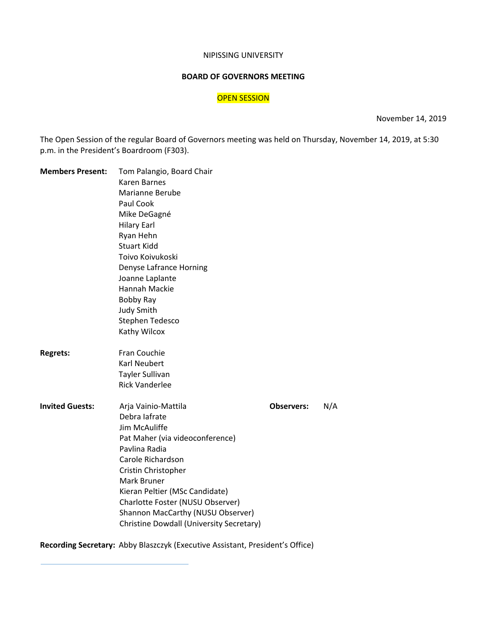#### NIPISSING UNIVERSITY

# **BOARD OF GOVERNORS MEETING**

# OPEN SESSION

November 14, 2019

The Open Session of the regular Board of Governors meeting was held on Thursday, November 14, 2019, at 5:30 p.m. in the President's Boardroom (F303).

| <b>Members Present:</b> | Tom Palangio, Board Chair                |                   |     |  |  |  |  |  |  |  |  |  |
|-------------------------|------------------------------------------|-------------------|-----|--|--|--|--|--|--|--|--|--|
|                         | Karen Barnes                             |                   |     |  |  |  |  |  |  |  |  |  |
|                         | Marianne Berube                          |                   |     |  |  |  |  |  |  |  |  |  |
|                         | Paul Cook                                |                   |     |  |  |  |  |  |  |  |  |  |
|                         | Mike DeGagné                             |                   |     |  |  |  |  |  |  |  |  |  |
|                         | <b>Hilary Earl</b>                       |                   |     |  |  |  |  |  |  |  |  |  |
|                         | Ryan Hehn                                |                   |     |  |  |  |  |  |  |  |  |  |
|                         | <b>Stuart Kidd</b>                       |                   |     |  |  |  |  |  |  |  |  |  |
|                         | Toivo Koivukoski                         |                   |     |  |  |  |  |  |  |  |  |  |
|                         | Denyse Lafrance Horning                  |                   |     |  |  |  |  |  |  |  |  |  |
|                         | Joanne Laplante                          |                   |     |  |  |  |  |  |  |  |  |  |
|                         | <b>Hannah Mackie</b>                     |                   |     |  |  |  |  |  |  |  |  |  |
|                         | Bobby Ray                                |                   |     |  |  |  |  |  |  |  |  |  |
|                         | <b>Judy Smith</b>                        |                   |     |  |  |  |  |  |  |  |  |  |
|                         | Stephen Tedesco                          |                   |     |  |  |  |  |  |  |  |  |  |
|                         | Kathy Wilcox                             |                   |     |  |  |  |  |  |  |  |  |  |
| <b>Regrets:</b>         | Fran Couchie                             |                   |     |  |  |  |  |  |  |  |  |  |
|                         | <b>Karl Neubert</b>                      |                   |     |  |  |  |  |  |  |  |  |  |
|                         | Tayler Sullivan                          |                   |     |  |  |  |  |  |  |  |  |  |
|                         | <b>Rick Vanderlee</b>                    |                   |     |  |  |  |  |  |  |  |  |  |
| <b>Invited Guests:</b>  | Arja Vainio-Mattila                      | <b>Observers:</b> | N/A |  |  |  |  |  |  |  |  |  |
|                         | Debra lafrate                            |                   |     |  |  |  |  |  |  |  |  |  |
|                         | Jim McAuliffe                            |                   |     |  |  |  |  |  |  |  |  |  |
|                         | Pat Maher (via videoconference)          |                   |     |  |  |  |  |  |  |  |  |  |
|                         | Pavlina Radia                            |                   |     |  |  |  |  |  |  |  |  |  |
|                         | Carole Richardson                        |                   |     |  |  |  |  |  |  |  |  |  |
|                         | Cristin Christopher                      |                   |     |  |  |  |  |  |  |  |  |  |
|                         | Mark Bruner                              |                   |     |  |  |  |  |  |  |  |  |  |
|                         | Kieran Peltier (MSc Candidate)           |                   |     |  |  |  |  |  |  |  |  |  |
|                         | Charlotte Foster (NUSU Observer)         |                   |     |  |  |  |  |  |  |  |  |  |
|                         | Shannon MacCarthy (NUSU Observer)        |                   |     |  |  |  |  |  |  |  |  |  |
|                         | Christine Dowdall (University Secretary) |                   |     |  |  |  |  |  |  |  |  |  |

**Recording Secretary:** Abby Blaszczyk (Executive Assistant, President's Office)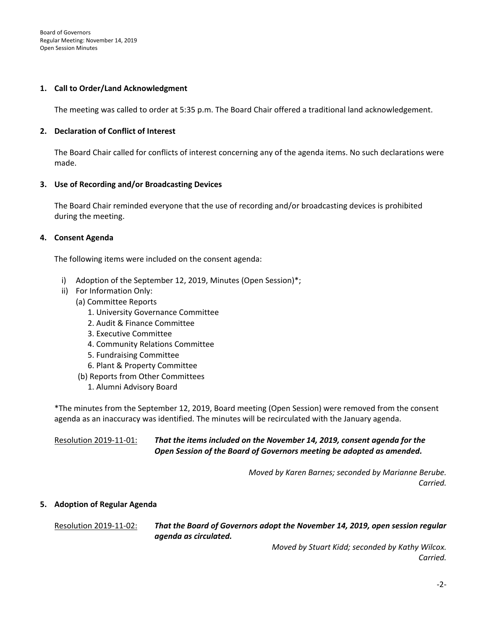#### **1. Call to Order/Land Acknowledgment**

The meeting was called to order at 5:35 p.m. The Board Chair offered a traditional land acknowledgement.

#### **2. Declaration of Conflict of Interest**

The Board Chair called for conflicts of interest concerning any of the agenda items. No such declarations were made.

#### **3. Use of Recording and/or Broadcasting Devices**

The Board Chair reminded everyone that the use of recording and/or broadcasting devices is prohibited during the meeting.

#### **4. Consent Agenda**

The following items were included on the consent agenda:

- i) Adoption of the September 12, 2019, Minutes (Open Session)\*;
- ii) For Information Only:
	- (a) Committee Reports
		- 1. University Governance Committee
		- 2. Audit & Finance Committee
		- 3. Executive Committee
		- 4. Community Relations Committee
		- 5. Fundraising Committee
		- 6. Plant & Property Committee
	- (b) Reports from Other Committees
		- 1. Alumni Advisory Board

\*The minutes from the September 12, 2019, Board meeting (Open Session) were removed from the consent agenda as an inaccuracy was identified. The minutes will be recirculated with the January agenda.

Resolution 2019-11-01: *That the items included on the November 14, 2019, consent agenda for the Open Session of the Board of Governors meeting be adopted as amended.*

> *Moved by Karen Barnes; seconded by Marianne Berube. Carried.*

#### **5. Adoption of Regular Agenda**

Resolution 2019-11-02: *That the Board of Governors adopt the November 14, 2019, open session regular agenda as circulated.*

> *Moved by Stuart Kidd; seconded by Kathy Wilcox. Carried.*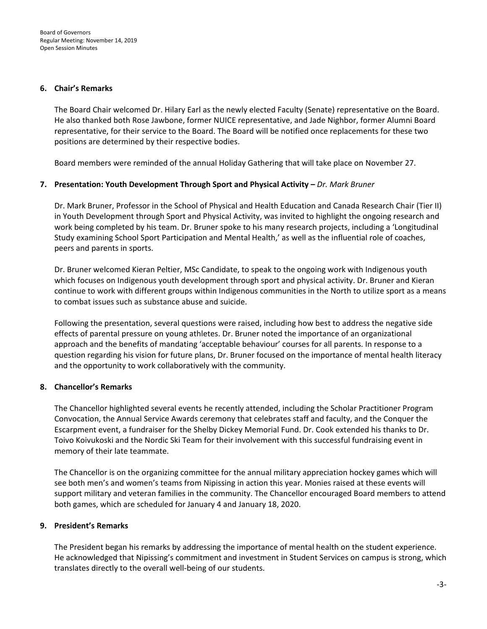#### **6. Chair's Remarks**

The Board Chair welcomed Dr. Hilary Earl as the newly elected Faculty (Senate) representative on the Board. He also thanked both Rose Jawbone, former NUICE representative, and Jade Nighbor, former Alumni Board representative, for their service to the Board. The Board will be notified once replacements for these two positions are determined by their respective bodies.

Board members were reminded of the annual Holiday Gathering that will take place on November 27.

# **7. Presentation: Youth Development Through Sport and Physical Activity –** *Dr. Mark Bruner*

Dr. Mark Bruner, Professor in the School of Physical and Health Education and Canada Research Chair (Tier II) in Youth Development through Sport and Physical Activity, was invited to highlight the ongoing research and work being completed by his team. Dr. Bruner spoke to his many research projects, including a 'Longitudinal Study examining School Sport Participation and Mental Health,' as well as the influential role of coaches, peers and parents in sports.

Dr. Bruner welcomed Kieran Peltier, MSc Candidate, to speak to the ongoing work with Indigenous youth which focuses on Indigenous youth development through sport and physical activity. Dr. Bruner and Kieran continue to work with different groups within Indigenous communities in the North to utilize sport as a means to combat issues such as substance abuse and suicide.

Following the presentation, several questions were raised, including how best to address the negative side effects of parental pressure on young athletes. Dr. Bruner noted the importance of an organizational approach and the benefits of mandating 'acceptable behaviour' courses for all parents. In response to a question regarding his vision for future plans, Dr. Bruner focused on the importance of mental health literacy and the opportunity to work collaboratively with the community.

# **8. Chancellor's Remarks**

The Chancellor highlighted several events he recently attended, including the Scholar Practitioner Program Convocation, the Annual Service Awards ceremony that celebrates staff and faculty, and the Conquer the Escarpment event, a fundraiser for the Shelby Dickey Memorial Fund. Dr. Cook extended his thanks to Dr. Toivo Koivukoski and the Nordic Ski Team for their involvement with this successful fundraising event in memory of their late teammate.

The Chancellor is on the organizing committee for the annual military appreciation hockey games which will see both men's and women's teams from Nipissing in action this year. Monies raised at these events will support military and veteran families in the community. The Chancellor encouraged Board members to attend both games, which are scheduled for January 4 and January 18, 2020.

# **9. President's Remarks**

The President began his remarks by addressing the importance of mental health on the student experience. He acknowledged that Nipissing's commitment and investment in Student Services on campus is strong, which translates directly to the overall well-being of our students.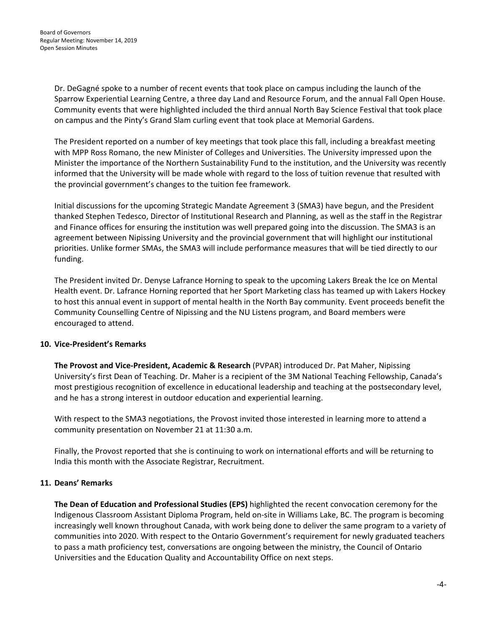Dr. DeGagné spoke to a number of recent events that took place on campus including the launch of the Sparrow Experiential Learning Centre, a three day Land and Resource Forum, and the annual Fall Open House. Community events that were highlighted included the third annual North Bay Science Festival that took place on campus and the Pinty's Grand Slam curling event that took place at Memorial Gardens.

The President reported on a number of key meetings that took place this fall, including a breakfast meeting with MPP Ross Romano, the new Minister of Colleges and Universities. The University impressed upon the Minister the importance of the Northern Sustainability Fund to the institution, and the University was recently informed that the University will be made whole with regard to the loss of tuition revenue that resulted with the provincial government's changes to the tuition fee framework.

Initial discussions for the upcoming Strategic Mandate Agreement 3 (SMA3) have begun, and the President thanked Stephen Tedesco, Director of Institutional Research and Planning, as well as the staff in the Registrar and Finance offices for ensuring the institution was well prepared going into the discussion. The SMA3 is an agreement between Nipissing University and the provincial government that will highlight our institutional priorities. Unlike former SMAs, the SMA3 will include performance measures that will be tied directly to our funding.

The President invited Dr. Denyse Lafrance Horning to speak to the upcoming Lakers Break the Ice on Mental Health event. Dr. Lafrance Horning reported that her Sport Marketing class has teamed up with Lakers Hockey to host this annual event in support of mental health in the North Bay community. Event proceeds benefit the Community Counselling Centre of Nipissing and the NU Listens program, and Board members were encouraged to attend.

# **10. Vice-President's Remarks**

**The Provost and Vice-President, Academic & Research** (PVPAR) introduced Dr. Pat Maher, Nipissing University's first Dean of Teaching. Dr. Maher is a recipient of the 3M National Teaching Fellowship, Canada's most prestigious recognition of excellence in educational leadership and teaching at the postsecondary level, and he has a strong interest in outdoor education and experiential learning.

With respect to the SMA3 negotiations, the Provost invited those interested in learning more to attend a community presentation on November 21 at 11:30 a.m.

Finally, the Provost reported that she is continuing to work on international efforts and will be returning to India this month with the Associate Registrar, Recruitment.

# **11. Deans' Remarks**

**The Dean of Education and Professional Studies (EPS)** highlighted the recent convocation ceremony for the Indigenous Classroom Assistant Diploma Program, held on-site in Williams Lake, BC. The program is becoming increasingly well known throughout Canada, with work being done to deliver the same program to a variety of communities into 2020. With respect to the Ontario Government's requirement for newly graduated teachers to pass a math proficiency test, conversations are ongoing between the ministry, the Council of Ontario Universities and the Education Quality and Accountability Office on next steps.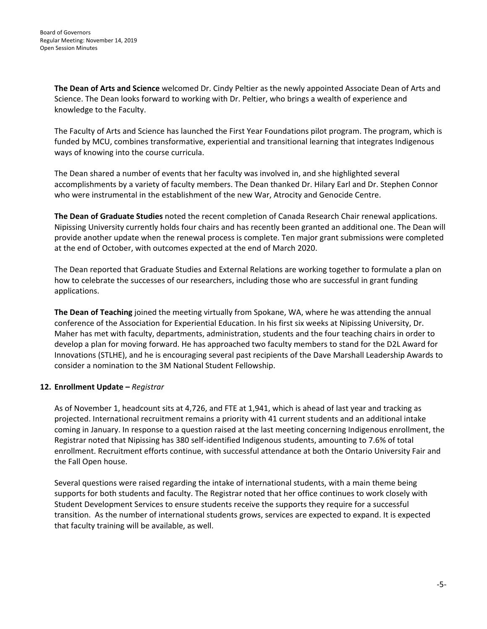**The Dean of Arts and Science** welcomed Dr. Cindy Peltier as the newly appointed Associate Dean of Arts and Science. The Dean looks forward to working with Dr. Peltier, who brings a wealth of experience and knowledge to the Faculty.

The Faculty of Arts and Science has launched the First Year Foundations pilot program. The program, which is funded by MCU, combines transformative, experiential and transitional learning that integrates Indigenous ways of knowing into the course curricula.

The Dean shared a number of events that her faculty was involved in, and she highlighted several accomplishments by a variety of faculty members. The Dean thanked Dr. Hilary Earl and Dr. Stephen Connor who were instrumental in the establishment of the new War, Atrocity and Genocide Centre.

**The Dean of Graduate Studies** noted the recent completion of Canada Research Chair renewal applications. Nipissing University currently holds four chairs and has recently been granted an additional one. The Dean will provide another update when the renewal process is complete. Ten major grant submissions were completed at the end of October, with outcomes expected at the end of March 2020.

The Dean reported that Graduate Studies and External Relations are working together to formulate a plan on how to celebrate the successes of our researchers, including those who are successful in grant funding applications.

**The Dean of Teaching** joined the meeting virtually from Spokane, WA, where he was attending the annual conference of the Association for Experiential Education. In his first six weeks at Nipissing University, Dr. Maher has met with faculty, departments, administration, students and the four teaching chairs in order to develop a plan for moving forward. He has approached two faculty members to stand for the D2L Award for Innovations (STLHE), and he is encouraging several past recipients of the Dave Marshall Leadership Awards to consider a nomination to the 3M National Student Fellowship.

# **12. Enrollment Update –** *Registrar*

As of November 1, headcount sits at 4,726, and FTE at 1,941, which is ahead of last year and tracking as projected. International recruitment remains a priority with 41 current students and an additional intake coming in January. In response to a question raised at the last meeting concerning Indigenous enrollment, the Registrar noted that Nipissing has 380 self-identified Indigenous students, amounting to 7.6% of total enrollment. Recruitment efforts continue, with successful attendance at both the Ontario University Fair and the Fall Open house.

Several questions were raised regarding the intake of international students, with a main theme being supports for both students and faculty. The Registrar noted that her office continues to work closely with Student Development Services to ensure students receive the supports they require for a successful transition. As the number of international students grows, services are expected to expand. It is expected that faculty training will be available, as well.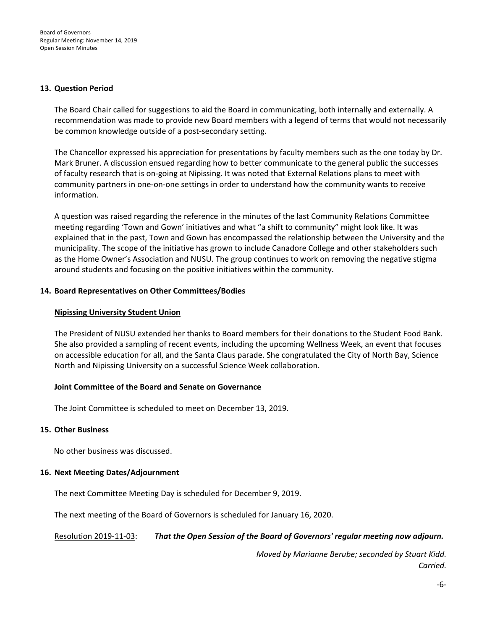#### **13. Question Period**

The Board Chair called for suggestions to aid the Board in communicating, both internally and externally. A recommendation was made to provide new Board members with a legend of terms that would not necessarily be common knowledge outside of a post-secondary setting.

The Chancellor expressed his appreciation for presentations by faculty members such as the one today by Dr. Mark Bruner. A discussion ensued regarding how to better communicate to the general public the successes of faculty research that is on-going at Nipissing. It was noted that External Relations plans to meet with community partners in one-on-one settings in order to understand how the community wants to receive information.

A question was raised regarding the reference in the minutes of the last Community Relations Committee meeting regarding 'Town and Gown' initiatives and what "a shift to community" might look like. It was explained that in the past, Town and Gown has encompassed the relationship between the University and the municipality. The scope of the initiative has grown to include Canadore College and other stakeholders such as the Home Owner's Association and NUSU. The group continues to work on removing the negative stigma around students and focusing on the positive initiatives within the community.

#### **14. Board Representatives on Other Committees/Bodies**

#### **Nipissing University Student Union**

The President of NUSU extended her thanks to Board members for their donations to the Student Food Bank. She also provided a sampling of recent events, including the upcoming Wellness Week, an event that focuses on accessible education for all, and the Santa Claus parade. She congratulated the City of North Bay, Science North and Nipissing University on a successful Science Week collaboration.

#### **Joint Committee of the Board and Senate on Governance**

The Joint Committee is scheduled to meet on December 13, 2019.

#### **15. Other Business**

No other business was discussed.

#### **16. Next Meeting Dates/Adjournment**

The next Committee Meeting Day is scheduled for December 9, 2019.

The next meeting of the Board of Governors is scheduled for January 16, 2020.

# Resolution 2019-11-03: *That the Open Session of the Board of Governors' regular meeting now adjourn.*

*Moved by Marianne Berube; seconded by Stuart Kidd. Carried.*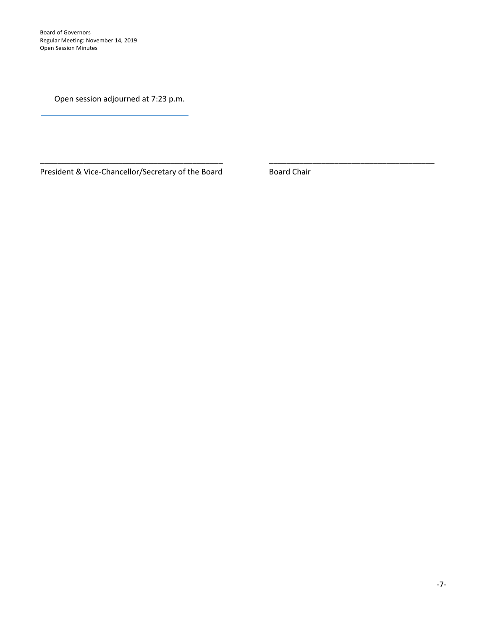Board of Governors Regular Meeting: November 14, 2019 Open Session Minutes

Open session adjourned at 7:23 p.m.

President & Vice-Chancellor/Secretary of the Board **Board Chair** 

\_\_\_\_\_\_\_\_\_\_\_\_\_\_\_\_\_\_\_\_\_\_\_\_\_\_\_\_\_\_\_\_\_\_\_\_\_\_\_\_\_\_ \_\_\_\_\_\_\_\_\_\_\_\_\_\_\_\_\_\_\_\_\_\_\_\_\_\_\_\_\_\_\_\_\_\_\_\_\_\_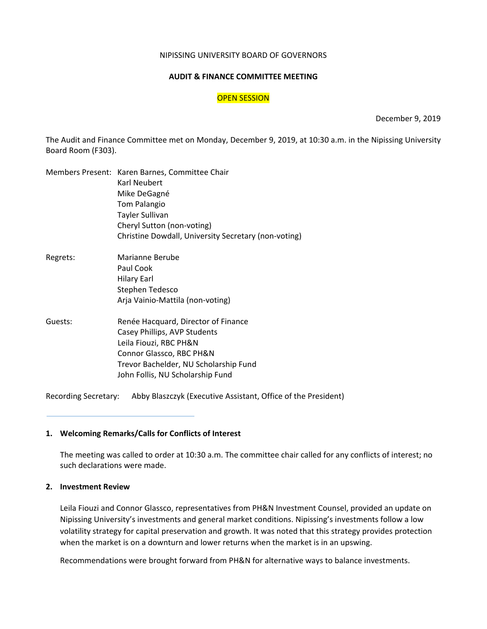#### NIPISSING UNIVERSITY BOARD OF GOVERNORS

# **AUDIT & FINANCE COMMITTEE MEETING**

#### OPEN SESSION

December 9, 2019

The Audit and Finance Committee met on Monday, December 9, 2019, at 10:30 a.m. in the Nipissing University Board Room (F303).

|          | Members Present: Karen Barnes, Committee Chair<br>Karl Neubert |  |  |  |  |  |  |
|----------|----------------------------------------------------------------|--|--|--|--|--|--|
|          | Mike DeGagné                                                   |  |  |  |  |  |  |
|          | <b>Tom Palangio</b>                                            |  |  |  |  |  |  |
|          | <b>Tayler Sullivan</b>                                         |  |  |  |  |  |  |
|          | Cheryl Sutton (non-voting)                                     |  |  |  |  |  |  |
|          | Christine Dowdall, University Secretary (non-voting)           |  |  |  |  |  |  |
| Regrets: | Marianne Berube                                                |  |  |  |  |  |  |
|          | Paul Cook                                                      |  |  |  |  |  |  |
|          | <b>Hilary Earl</b>                                             |  |  |  |  |  |  |
|          | Stephen Tedesco                                                |  |  |  |  |  |  |
|          | Arja Vainio-Mattila (non-voting)                               |  |  |  |  |  |  |
| Guests:  | Renée Hacquard, Director of Finance                            |  |  |  |  |  |  |
|          | Casey Phillips, AVP Students                                   |  |  |  |  |  |  |
|          | Leila Fiouzi, RBC PH&N                                         |  |  |  |  |  |  |
|          | Connor Glassco, RBC PH&N                                       |  |  |  |  |  |  |
|          | Trevor Bachelder, NU Scholarship Fund                          |  |  |  |  |  |  |
|          | John Follis, NU Scholarship Fund                               |  |  |  |  |  |  |
|          |                                                                |  |  |  |  |  |  |

Recording Secretary: Abby Blaszczyk (Executive Assistant, Office of the President)

#### **1. Welcoming Remarks/Calls for Conflicts of Interest**

The meeting was called to order at 10:30 a.m. The committee chair called for any conflicts of interest; no such declarations were made.

# **2. Investment Review**

Leila Fiouzi and Connor Glassco, representatives from PH&N Investment Counsel, provided an update on Nipissing University's investments and general market conditions. Nipissing's investments follow a low volatility strategy for capital preservation and growth. It was noted that this strategy provides protection when the market is on a downturn and lower returns when the market is in an upswing.

Recommendations were brought forward from PH&N for alternative ways to balance investments.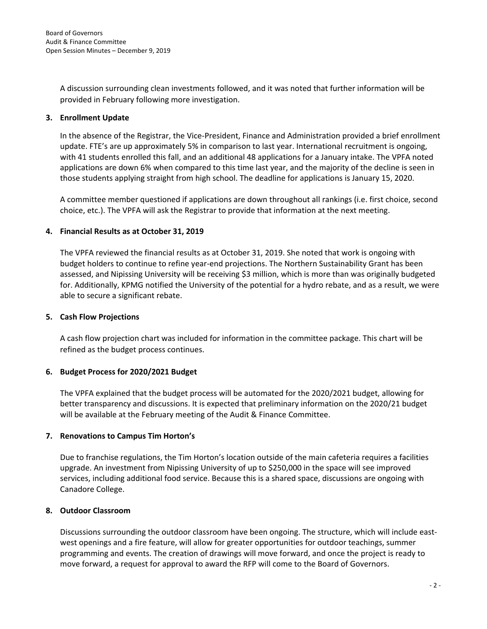A discussion surrounding clean investments followed, and it was noted that further information will be provided in February following more investigation.

# **3. Enrollment Update**

In the absence of the Registrar, the Vice-President, Finance and Administration provided a brief enrollment update. FTE's are up approximately 5% in comparison to last year. International recruitment is ongoing, with 41 students enrolled this fall, and an additional 48 applications for a January intake. The VPFA noted applications are down 6% when compared to this time last year, and the majority of the decline is seen in those students applying straight from high school. The deadline for applications is January 15, 2020.

A committee member questioned if applications are down throughout all rankings (i.e. first choice, second choice, etc.). The VPFA will ask the Registrar to provide that information at the next meeting.

# **4. Financial Results as at October 31, 2019**

The VPFA reviewed the financial results as at October 31, 2019. She noted that work is ongoing with budget holders to continue to refine year-end projections. The Northern Sustainability Grant has been assessed, and Nipissing University will be receiving \$3 million, which is more than was originally budgeted for. Additionally, KPMG notified the University of the potential for a hydro rebate, and as a result, we were able to secure a significant rebate.

# **5. Cash Flow Projections**

A cash flow projection chart was included for information in the committee package. This chart will be refined as the budget process continues.

# **6. Budget Process for 2020/2021 Budget**

The VPFA explained that the budget process will be automated for the 2020/2021 budget, allowing for better transparency and discussions. It is expected that preliminary information on the 2020/21 budget will be available at the February meeting of the Audit & Finance Committee.

# **7. Renovations to Campus Tim Horton's**

Due to franchise regulations, the Tim Horton's location outside of the main cafeteria requires a facilities upgrade. An investment from Nipissing University of up to \$250,000 in the space will see improved services, including additional food service. Because this is a shared space, discussions are ongoing with Canadore College.

# **8. Outdoor Classroom**

Discussions surrounding the outdoor classroom have been ongoing. The structure, which will include eastwest openings and a fire feature, will allow for greater opportunities for outdoor teachings, summer programming and events. The creation of drawings will move forward, and once the project is ready to move forward, a request for approval to award the RFP will come to the Board of Governors.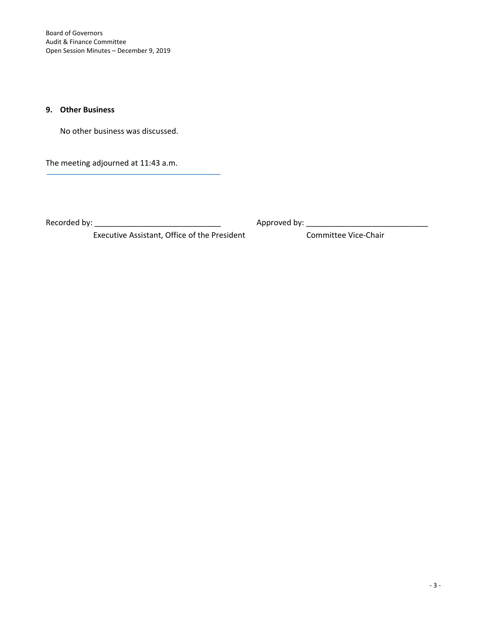Board of Governors Audit & Finance Committee Open Session Minutes – December 9, 2019

# **9. Other Business**

No other business was discussed.

The meeting adjourned at 11:43 a.m.

Recorded by: \_\_\_\_\_\_\_\_\_\_\_\_\_\_\_\_\_\_\_\_\_\_\_\_\_\_\_\_\_ Approved by: \_\_\_\_\_\_\_\_\_\_\_\_\_\_\_\_\_\_\_\_\_\_\_\_\_\_\_\_

Executive Assistant, Office of the President Committee Vice-Chair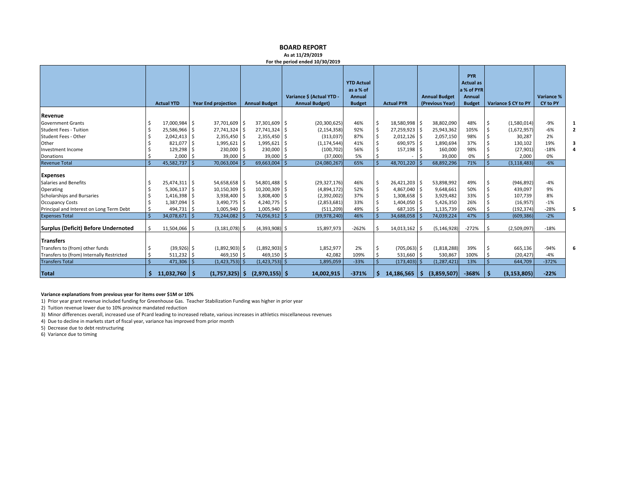|                                            |                   |    |                            |                      | As at 11/29/2019<br>For the period ended 10/30/2019 |                                                           |          |                   |      |                                         |                                                                  |                      |                        |  |
|--------------------------------------------|-------------------|----|----------------------------|----------------------|-----------------------------------------------------|-----------------------------------------------------------|----------|-------------------|------|-----------------------------------------|------------------------------------------------------------------|----------------------|------------------------|--|
|                                            | <b>Actual YTD</b> |    | <b>Year End projection</b> | <b>Annual Budget</b> | Variance \$ (Actual YTD -<br><b>Annual Budget)</b>  | <b>YTD Actual</b><br>as a % of<br>Annual<br><b>Budget</b> |          | <b>Actual PYR</b> |      | <b>Annual Budget</b><br>(Previous Year) | PYR<br><b>Actual as</b><br>a % of PYR<br>Annual<br><b>Budget</b> | Variance \$ CY to PY | Variance %<br>CY to PY |  |
| Revenue                                    |                   |    |                            |                      |                                                     |                                                           |          |                   |      |                                         |                                                                  |                      |                        |  |
| <b>Government Grants</b>                   | 17,000,984        | -S | 37,701,609 \$              | 37,301,609 \$        | (20, 300, 625)                                      | 46%                                                       |          | 18,580,998 \$     |      | 38,802,090                              | 48%                                                              | (1,580,014)          | $-9%$                  |  |
| <b>Student Fees - Tuition</b>              | 25,586,966        |    | 27,741,324 \$              | 27,741,324           | (2, 154, 358)                                       | 92%                                                       |          | 27,259,923        |      | 25,943,362                              | 105%                                                             | (1,672,957)          | $-6%$                  |  |
| Student Fees - Other                       | 2,042,413         |    | $2,355,450$ \$             | 2,355,450            | (313,037)                                           | 87%                                                       |          | 2,012,126         |      | 2,057,150                               | 98%                                                              | 30,287               | 2%                     |  |
| Other                                      | 821,077           |    | $1,995,621$ \$             | 1,995,621            | (1, 174, 544)                                       | 41%                                                       |          | 690,975           |      | 1,890,694                               | 37%                                                              | 130,102              | 19%                    |  |
| Investment Income                          | 129,298           |    | 230,000 \$                 | 230,000              | (100, 702)                                          | 56%                                                       |          | 157,198           |      | 160,000                                 | 98%                                                              | (27, 901)            | $-18%$                 |  |
| Donations                                  | 2,000             |    | 39,000 \$                  | 39,000               | (37,000)                                            | 5%                                                        |          |                   |      | 39,000                                  | 0%                                                               | 2,000                | 0%                     |  |
| <b>Revenue Total</b>                       | 45,582,737        |    | 70,063,004                 | 69,663,004           | (24,080,267                                         | 65%                                                       |          | 48,701,220        |      | 68,892,296                              | 71%                                                              | (3, 118, 483)        | $-6%$                  |  |
| <b>Expenses</b>                            |                   |    |                            |                      |                                                     |                                                           |          |                   |      |                                         |                                                                  |                      |                        |  |
| <b>Salaries and Benefits</b>               | 25,474,311        | ۱s | 54,658,658 \$              | 54,801,488 \$        | (29, 327, 176)                                      | 46%                                                       |          | 26,421,203        |      | 53,898,992                              | 49%                                                              | (946, 892)           | $-4%$                  |  |
| Operating                                  | 5,306,137         |    | 10,150,309 \$              | 10,200,309           | (4,894,172)                                         | 52%                                                       |          | 4,867,040         |      | 9,648,661                               | 50%                                                              | 439,097              | 9%                     |  |
| Scholarships and Bursaries                 | 1,416,398         |    | 3,938,400 \$               | 3,808,400            | (2,392,002)                                         | 37%                                                       |          | 1,308,658         |      | 3,929,482                               | 33%                                                              | 107,739              | 8%                     |  |
| <b>Occupancy Costs</b>                     | 1,387,094         |    | 3,490,775 \$               | 4,240,775            | (2,853,681)                                         | 33%                                                       |          | 1,404,050         |      | 5,426,350                               | 26%                                                              | (16, 957)            | $-1%$                  |  |
| Principal and Interest on Long Term Debt   | 494,731           |    | 1,005,940 \$               | 1,005,940            | (511, 209)                                          | 49%                                                       |          | 687,105           |      | 1,135,739                               | 60%                                                              | (192, 374)           | $-28%$                 |  |
| <b>Expenses Total</b>                      | 34,078,671        |    | 73,244,082                 | 74,056,912           | (39,978,240                                         | 46%                                                       |          | 34,688,058        |      | 74,039,224                              | 47%                                                              | (609, 386)           | $-2%$                  |  |
| <b>Surplus (Deficit) Before Undernoted</b> | 11,504,066        | -S | $(3, 181, 078)$ \$         | $(4,393,908)$ \$     | 15,897,973                                          | $-262%$                                                   |          | 14,013,162        | -Ś   | (5, 146, 928)                           | $-272%$                                                          | (2,509,097)          | $-18%$                 |  |
| Transfers                                  |                   |    |                            |                      |                                                     |                                                           |          |                   |      |                                         |                                                                  |                      |                        |  |
| Transfers to (from) other funds            | $(39,926)$ \$     |    | $(1,892,903)$ \$           | $(1,892,903)$ \$     | 1,852,977                                           | 2%                                                        |          | $(705,063)$ \$    |      | (1,818,288)                             | 39%                                                              | 665,136              | $-94%$                 |  |
| Transfers to (from) Internally Restricted  | 511,232           |    | $469,150$ \$               | 469,150              | 42.082                                              | 109%                                                      |          | 531,660 \$        |      | 530,867                                 | 100%                                                             | (20, 427)            | $-4%$                  |  |
| <b>Transfers Total</b>                     | 471,306           |    | $(1,423,753)$ \$           | $(1,423,753)$ \$     | 1,895,059                                           | $-33%$                                                    |          | $(173, 403)$ \$   |      | (1, 287, 421)                           | 13%                                                              | 644,709              | $-372%$                |  |
| <b>Total</b>                               | $11,032,760$   \$ |    | $(1,757,325)$ \$           | (2,970,155)          | 14,002,915                                          | $-371%$                                                   | <b>S</b> | 14,186,565        | l \$ | (3,859,507)                             | $-368%$                                                          | (3, 153, 805)        | $-22%$                 |  |

**BOARD REPORT**

#### **Variance explanations from previous year for items over \$1M or 10%**

1) Prior year grant revenue included funding for Greenhouse Gas. Teacher Stabilization Funding was higher in prior year

2) Tuition revenue lower due to 10% province mandated reduction

3) Minor differences overall, increased use of Pcard leading to increased rebate, various increases in athletics miscellaneous revenues

4) Due to decline in markets start of fiscal year, variance has improved from prior month

5) Decrease due to debt restructuring

6) Variance due to timing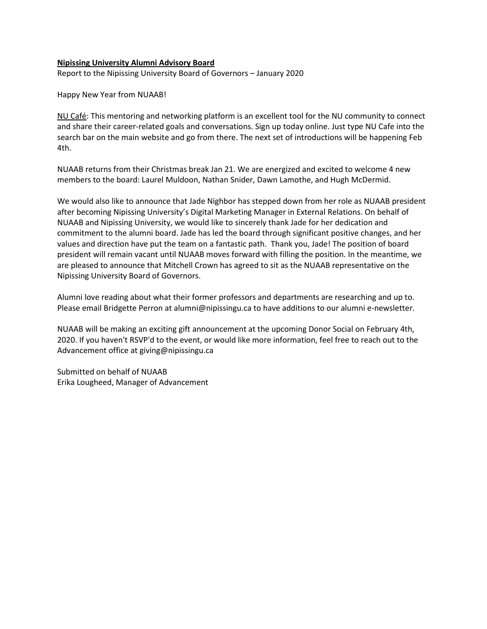#### **Nipissing University Alumni Advisory Board**

Report to the Nipissing University Board of Governors – January 2020

Happy New Year from NUAAB!

NU Café: This mentoring and networking platform is an excellent tool for the NU community to connect and share their career-related goals and conversations. Sign up today online. Just type NU Cafe into the search bar on the main website and go from there. The next set of introductions will be happening Feb 4th.

NUAAB returns from their Christmas break Jan 21. We are energized and excited to welcome 4 new members to the board: Laurel Muldoon, Nathan Snider, Dawn Lamothe, and Hugh McDermid.

We would also like to announce that Jade Nighbor has stepped down from her role as NUAAB president after becoming Nipissing University's Digital Marketing Manager in External Relations. On behalf of NUAAB and Nipissing University, we would like to sincerely thank Jade for her dedication and commitment to the alumni board. Jade has led the board through significant positive changes, and her values and direction have put the team on a fantastic path. Thank you, Jade! The position of board president will remain vacant until NUAAB moves forward with filling the position. In the meantime, we are pleased to announce that Mitchell Crown has agreed to sit as the NUAAB representative on the Nipissing University Board of Governors.

Alumni love reading about what their former professors and departments are researching and up to. Please email Bridgette Perron at alumni@nipissingu.ca to have additions to our alumni e-newsletter.

NUAAB will be making an exciting gift announcement at the upcoming Donor Social on February 4th, 2020. If you haven't RSVP'd to the event, or would like more information, feel free to reach out to the Advancement office at giving@nipissingu.ca

Submitted on behalf of NUAAB Erika Lougheed, Manager of Advancement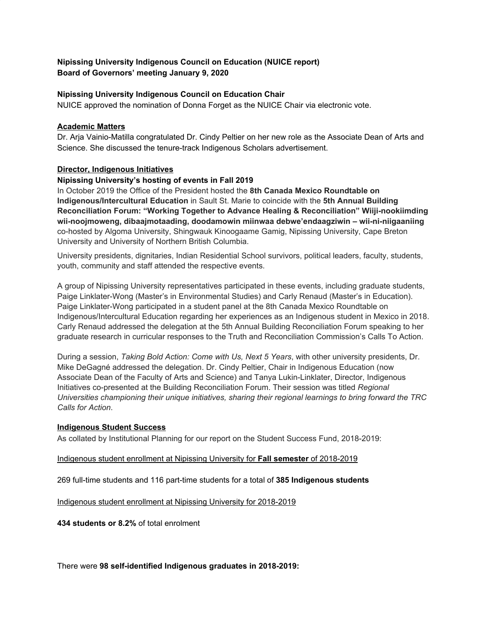# **Nipissing University Indigenous Council on Education (NUICE report) Board of Governors' meeting January 9, 2020**

# **Nipissing University Indigenous Council on Education Chair**

NUICE approved the nomination of Donna Forget as the NUICE Chair via electronic vote.

# **Academic Matters**

Dr. Arja Vainio-Matilla congratulated Dr. Cindy Peltier on her new role as the Associate Dean of Arts and Science. She discussed the tenure-track Indigenous Scholars advertisement.

# **Director, Indigenous Initiatives**

# **Nipissing University's hosting of events in Fall 2019**

In October 2019 the Office of the President hosted the **8th Canada Mexico Roundtable on Indigenous/Intercultural Education** in Sault St. Marie to coincide with the **5th Annual Building Reconciliation Forum: "Working Together to Advance Healing & Reconciliation" Wiiji-nookiimding wii-noojmoweng, dibaajmotaading, doodamowin miinwaa debwe'endaagziwin – wii-ni-niigaaniing** co-hosted by Algoma University, Shingwauk Kinoogaame Gamig, Nipissing University, Cape Breton University and University of Northern British Columbia.

University presidents, dignitaries, Indian Residential School survivors, political leaders, faculty, students, youth, community and staff attended the respective events.

A group of Nipissing University representatives participated in these events, including graduate students, Paige Linklater-Wong (Master's in Environmental Studies) and Carly Renaud (Master's in Education). Paige Linklater-Wong participated in a student panel at the 8th Canada Mexico Roundtable on Indigenous/Intercultural Education regarding her experiences as an Indigenous student in Mexico in 2018. Carly Renaud addressed the delegation at the 5th Annual Building Reconciliation Forum speaking to her graduate research in curricular responses to the Truth and Reconciliation Commission's Calls To Action.

During a session, *Taking Bold Action: Come with Us, Next 5 Years*, with other university presidents, Dr. Mike DeGagné addressed the delegation. Dr. Cindy Peltier, Chair in Indigenous Education (now Associate Dean of the Faculty of Arts and Science) and Tanya Lukin-Linklater, Director, Indigenous Initiatives co-presented at the Building Reconciliation Forum. Their session was titled *Regional Universities championing their unique initiatives, sharing their regional learnings to bring forward the TRC Calls for Action*.

# **Indigenous Student Success**

As collated by Institutional Planning for our report on the Student Success Fund, 2018-2019:

# Indigenous student enrollment at Nipissing University for **Fall semester** of 2018-2019

269 full-time students and 116 part-time students for a total of **385 Indigenous students**

Indigenous student enrollment at Nipissing University for 2018-2019

**434 students or 8.2%** of total enrolment

There were **98 self-identified Indigenous graduates in 2018-2019:**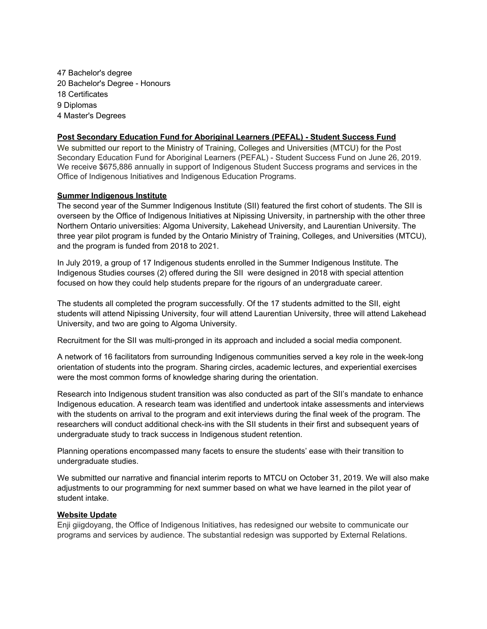Bachelor's degree Bachelor's Degree - Honours Certificates 9 Diplomas Master's Degrees

#### **Post Secondary Education Fund for Aboriginal Learners (PEFAL) - Student Success Fund**

We submitted our report to the Ministry of Training, Colleges and Universities (MTCU) for the Post Secondary Education Fund for Aboriginal Learners (PEFAL) - Student Success Fund on June 26, 2019. We receive \$675,886 annually in support of Indigenous Student Success programs and services in the Office of Indigenous Initiatives and Indigenous Education Programs.

#### **Summer Indigenous Institute**

The second year of the Summer Indigenous Institute (SII) featured the first cohort of students. The SII is overseen by the Office of Indigenous Initiatives at Nipissing University, in partnership with the other three Northern Ontario universities: Algoma University, Lakehead University, and Laurentian University. The three year pilot program is funded by the Ontario Ministry of Training, Colleges, and Universities (MTCU), and the program is funded from 2018 to 2021.

In July 2019, a group of 17 Indigenous students enrolled in the Summer Indigenous Institute. The Indigenous Studies courses (2) offered during the SII were designed in 2018 with special attention focused on how they could help students prepare for the rigours of an undergraduate career.

The students all completed the program successfully. Of the 17 students admitted to the SII, eight students will attend Nipissing University, four will attend Laurentian University, three will attend Lakehead University, and two are going to Algoma University.

Recruitment for the SII was multi-pronged in its approach and included a social media component.

A network of 16 facilitators from surrounding Indigenous communities served a key role in the week-long orientation of students into the program. Sharing circles, academic lectures, and experiential exercises were the most common forms of knowledge sharing during the orientation.

Research into Indigenous student transition was also conducted as part of the SII's mandate to enhance Indigenous education. A research team was identified and undertook intake assessments and interviews with the students on arrival to the program and exit interviews during the final week of the program. The researchers will conduct additional check-ins with the SII students in their first and subsequent years of undergraduate study to track success in Indigenous student retention.

Planning operations encompassed many facets to ensure the students' ease with their transition to undergraduate studies.

We submitted our narrative and financial interim reports to MTCU on October 31, 2019. We will also make adjustments to our programming for next summer based on what we have learned in the pilot year of student intake.

#### **Website Update**

Enji giigdoyang, the Office of Indigenous Initiatives, has redesigned our website to communicate our programs and services by audience. The substantial redesign was supported by External Relations.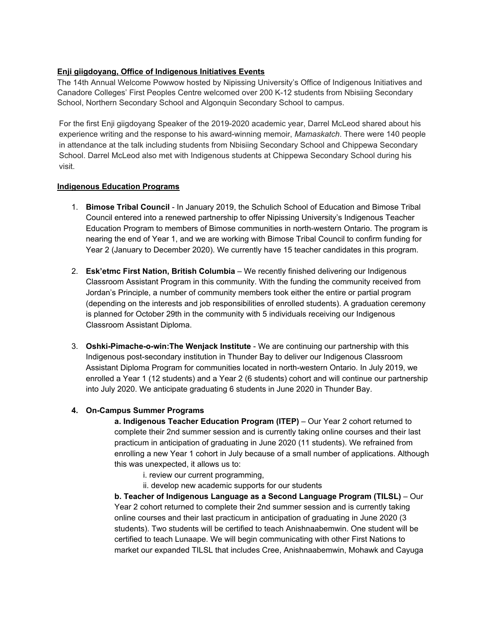# **Enji giigdoyang, Office of Indigenous Initiatives Events**

The 14th Annual Welcome Powwow hosted by Nipissing University's Office of Indigenous Initiatives and Canadore Colleges' First Peoples Centre welcomed over 200 K-12 students from Nbisiing Secondary School, Northern Secondary School and Algonquin Secondary School to campus.

For the first Enji giigdoyang Speaker of the 2019-2020 academic year, Darrel McLeod shared about his experience writing and the response to his award-winning memoir, *Mamaskatch*. There were 140 people in attendance at the talk including students from Nbisiing Secondary School and Chippewa Secondary School. Darrel McLeod also met with Indigenous students at Chippewa Secondary School during his visit.

# **Indigenous Education Programs**

- 1. **Bimose Tribal Council** In January 2019, the Schulich School of Education and Bimose Tribal Council entered into a renewed partnership to offer Nipissing University's Indigenous Teacher Education Program to members of Bimose communities in north-western Ontario. The program is nearing the end of Year 1, and we are working with Bimose Tribal Council to confirm funding for Year 2 (January to December 2020). We currently have 15 teacher candidates in this program.
- 2. **Esk'etmc First Nation, British Columbia** We recently finished delivering our Indigenous Classroom Assistant Program in this community. With the funding the community received from Jordan's Principle, a number of community members took either the entire or partial program (depending on the interests and job responsibilities of enrolled students). A graduation ceremony is planned for October 29th in the community with 5 individuals receiving our Indigenous Classroom Assistant Diploma.
- 3. **Oshki-Pimache-o-win:The Wenjack Institute** We are continuing our partnership with this Indigenous post-secondary institution in Thunder Bay to deliver our Indigenous Classroom Assistant Diploma Program for communities located in north-western Ontario. In July 2019, we enrolled a Year 1 (12 students) and a Year 2 (6 students) cohort and will continue our partnership into July 2020. We anticipate graduating 6 students in June 2020 in Thunder Bay.

# **4. On-Campus Summer Programs**

**a. Indigenous Teacher Education Program (ITEP)** – Our Year 2 cohort returned to complete their 2nd summer session and is currently taking online courses and their last practicum in anticipation of graduating in June 2020 (11 students). We refrained from enrolling a new Year 1 cohort in July because of a small number of applications. Although this was unexpected, it allows us to:

- i. review our current programming,
- ii. develop new academic supports for our students

**b. Teacher of Indigenous Language as a Second Language Program (TILSL)** – Our Year 2 cohort returned to complete their 2nd summer session and is currently taking online courses and their last practicum in anticipation of graduating in June 2020 (3 students). Two students will be certified to teach Anishnaabemwin. One student will be certified to teach Lunaape. We will begin communicating with other First Nations to market our expanded TILSL that includes Cree, Anishnaabemwin, Mohawk and Cayuga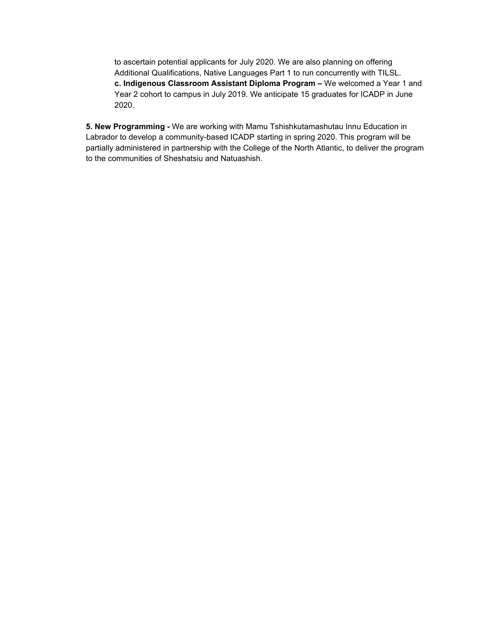to ascertain potential applicants for July 2020. We are also planning on offering Additional Qualifications, Native Languages Part 1 to run concurrently with TILSL. **c. Indigenous Classroom Assistant Diploma Program –** We welcomed a Year 1 and Year 2 cohort to campus in July 2019. We anticipate 15 graduates for ICADP in June 2020.

**5. New Programming -** We are working with Mamu Tshishkutamashutau Innu Education in Labrador to develop a community-based ICADP starting in spring 2020. This program will be partially administered in partnership with the College of the North Atlantic, to deliver the program to the communities of Sheshatsiu and Natuashish.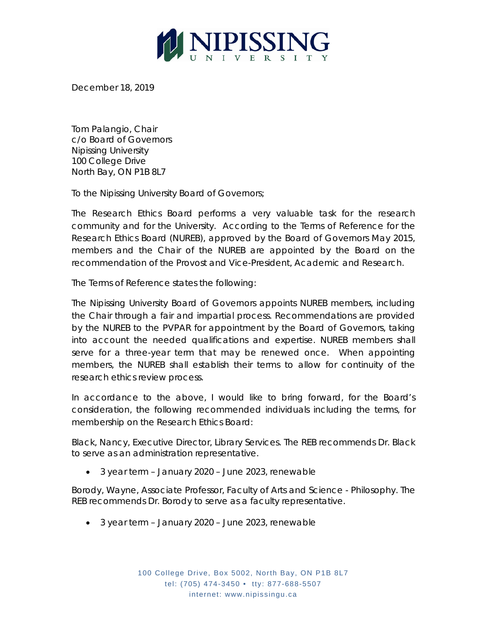

December 18, 2019

Tom Palangio, Chair c/o Board of Governors Nipissing University 100 College Drive North Bay, ON P1B 8L7

To the Nipissing University Board of Governors;

The Research Ethics Board performs a very valuable task for the research community and for the University. According to the Terms of Reference for the Research Ethics Board (NUREB), approved by the Board of Governors May 2015, members and the Chair of the NUREB are appointed by the Board on the recommendation of the Provost and Vice-President, Academic and Research.

The Terms of Reference states the following:

The Nipissing University Board of Governors appoints NUREB members, including the Chair through a fair and impartial process. Recommendations are provided by the NUREB to the PVPAR for appointment by the Board of Governors, taking into account the needed qualifications and expertise. NUREB members shall serve for a three-year term that may be renewed once. When appointing members, the NUREB shall establish their terms to allow for continuity of the research ethics review process.

In accordance to the above, I would like to bring forward, for the Board's consideration, the following recommended individuals including the terms, for membership on the Research Ethics Board:

Black, Nancy, Executive Director, Library Services. The REB recommends Dr. Black to serve as an administration representative.

• 3 year term – January 2020 – June 2023, renewable

Borody, Wayne, Associate Professor, Faculty of Arts and Science - Philosophy. The REB recommends Dr. Borody to serve as a faculty representative.

• 3 year term – January 2020 – June 2023, renewable